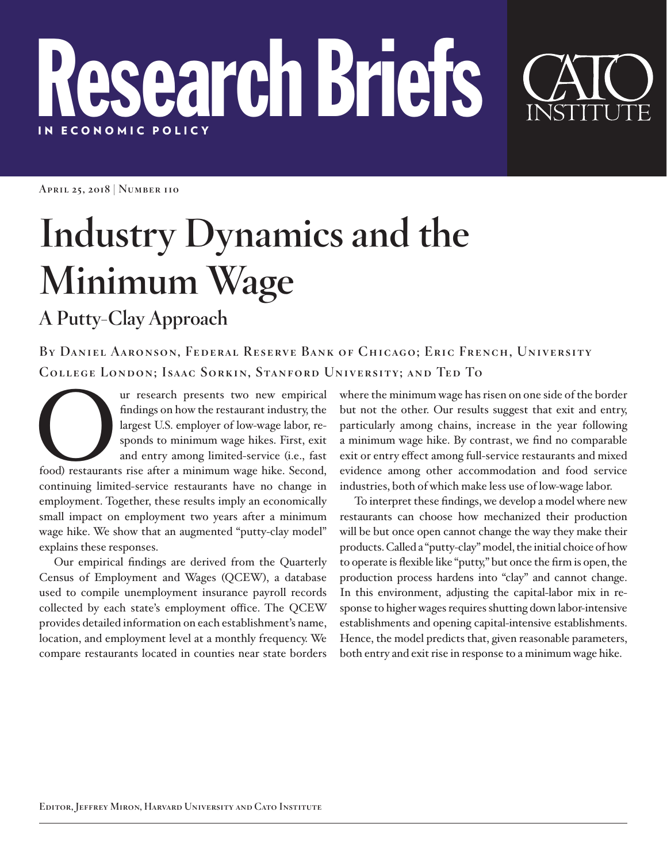## Research Briefs IN E C ONOMIC POLICY

**April 25, 2018 | Number 110**

## **Industry Dynamics and the Minimum Wage**

**A Putty-Clay Approach**

**By Daniel Aaronson, Federal Reserve Bank of Chicago; Eric French, University College London; Isaac Sorkin, Stanford University; and Ted To**

For the search presents two new empirical<br>
findings on how the restaurant industry, the<br>
largest U.S. employer of low-wage labor, re-<br>
sponds to minimum wage hikes. First, exit<br>
and entry among limited-service (i.e., fast<br> findings on how the restaurant industry, the largest U.S. employer of low-wage labor, responds to minimum wage hikes. First, exit and entry among limited-service (i.e., fast continuing limited-service restaurants have no change in employment. Together, these results imply an economically small impact on employment two years after a minimum wage hike. We show that an augmented "putty-clay model" explains these responses.

Our empirical findings are derived from the Quarterly Census of Employment and Wages (QCEW), a database used to compile unemployment insurance payroll records collected by each state's employment office. The QCEW provides detailed information on each establishment's name, location, and employment level at a monthly frequency. We compare restaurants located in counties near state borders

where the minimum wage has risen on one side of the border but not the other. Our results suggest that exit and entry, particularly among chains, increase in the year following a minimum wage hike. By contrast, we find no comparable exit or entry effect among full-service restaurants and mixed evidence among other accommodation and food service industries, both of which make less use of low-wage labor.

To interpret these findings, we develop a model where new restaurants can choose how mechanized their production will be but once open cannot change the way they make their products. Called a "putty-clay" model, the initial choice of how to operate is flexible like "putty," but once the firm is open, the production process hardens into "clay" and cannot change. In this environment, adjusting the capital-labor mix in response to higher wages requires shutting down labor-intensive establishments and opening capital-intensive establishments. Hence, the model predicts that, given reasonable parameters, both entry and exit rise in response to a minimum wage hike.